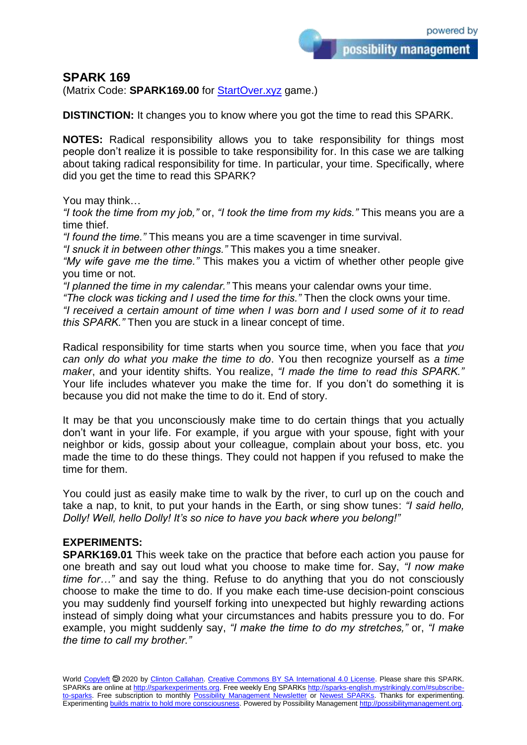possibility management

## **SPARK 169**

(Matrix Code: **SPARK169.00** for **StartOver.xyz** game.)

**DISTINCTION:** It changes you to know where you got the time to read this SPARK.

**NOTES:** Radical responsibility allows you to take responsibility for things most people don't realize it is possible to take responsibility for. In this case we are talking about taking radical responsibility for time. In particular, your time. Specifically, where did you get the time to read this SPARK?

You may think…

*"I took the time from my job,"* or, *"I took the time from my kids."* This means you are a time thief.

*"I found the time."* This means you are a time scavenger in time survival.

*"I snuck it in between other things."* This makes you a time sneaker.

*"My wife gave me the time."* This makes you a victim of whether other people give you time or not.

*"I planned the time in my calendar."* This means your calendar owns your time.

*"The clock was ticking and I used the time for this."* Then the clock owns your time.

*"I received a certain amount of time when I was born and I used some of it to read this SPARK."* Then you are stuck in a linear concept of time.

Radical responsibility for time starts when you source time, when you face that *you can only do what you make the time to do*. You then recognize yourself as *a time maker*, and your identity shifts. You realize, *"I made the time to read this SPARK."* Your life includes whatever you make the time for. If you don't do something it is because you did not make the time to do it. End of story.

It may be that you unconsciously make time to do certain things that you actually don't want in your life. For example, if you argue with your spouse, fight with your neighbor or kids, gossip about your colleague, complain about your boss, etc. you made the time to do these things. They could not happen if you refused to make the time for them.

You could just as easily make time to walk by the river, to curl up on the couch and take a nap, to knit, to put your hands in the Earth, or sing show tunes: *"I said hello, Dolly! Well, hello Dolly! It's so nice to have you back where you belong!"*

## **EXPERIMENTS:**

**SPARK169.01** This week take on the practice that before each action you pause for one breath and say out loud what you choose to make time for. Say, *"I now make time for…"* and say the thing. Refuse to do anything that you do not consciously choose to make the time to do. If you make each time-use decision-point conscious you may suddenly find yourself forking into unexpected but highly rewarding actions instead of simply doing what your circumstances and habits pressure you to do. For example, you might suddenly say, *"I make the time to do my stretches,"* or, *"I make the time to call my brother."*